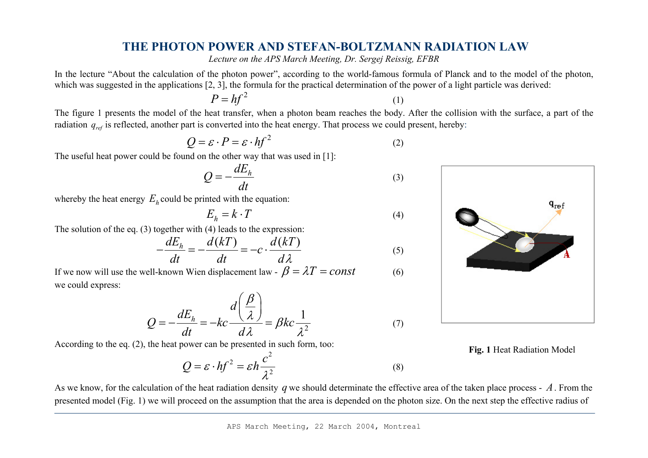## **THE PHOTON POWER AND STEFAN-BOLTZMANN RADIATION LAW**

*Lecture on the APS March Meeting, Dr. Sergej Reissig, EFBR* 

In the lecture "About the calculation of the photon power", according to the world-famous formula of Planck and to the model of the photon, which was suggested in the applications [2, 3], the formula for the practical determination of the power of a light particle was derived:

$$
P = hf^2 \tag{1}
$$

The figure 1 presents the model of the heat transfer, when a photon beam reaches the body. After the collision with the surface, a part of the radiation  $q_{ref}$  is reflected, another part is converted into the heat energy. That process we could present, hereby:

$$
Q = \varepsilon \cdot P = \varepsilon \cdot hf^2 \tag{2}
$$

The useful heat power could be found on the other way that was used in [1]:

$$
Q = -\frac{dE_h}{dt} \tag{3}
$$

whereby the heat energy  $E_h$  could be printed with the equation:

$$
E_h = k \cdot T \tag{4}
$$

The solution of the eq. (3) together with (4) leads to the expression:

$$
-\frac{dE_h}{dt} = -\frac{d(kT)}{dt} = -c \cdot \frac{d(kT)}{d\lambda}
$$
 (5)

If we now will use the well-known Wien displacement law -  $\beta = \lambda T = const$  (6) we could express:

$$
Q = -\frac{dE_h}{dt} = -kc \frac{d\left(\frac{\beta}{\lambda}\right)}{d\lambda} = \beta kc \frac{1}{\lambda^2}
$$
 (7)

According to the eq. (2), the heat power can be presented in such form, too:

$$
Q = \varepsilon \cdot hf^2 = \varepsilon h \frac{c^2}{\lambda^2} \tag{8}
$$

**Fig. 1** Heat Radiation Model

As we know, for the calculation of the heat radiation density *q* we should determinate the effective area of the taken place process - *A*. From the presented model (Fig. 1) we will proceed on the assumption that the area is depended on the photon size. On the next step the effective radius of